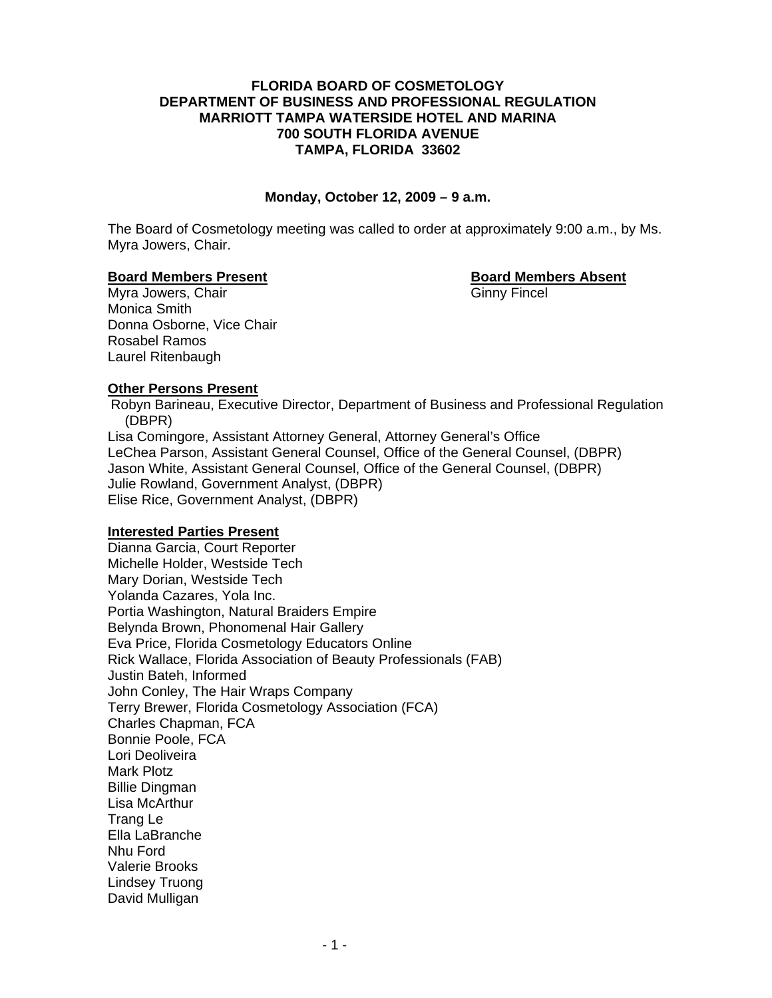# **FLORIDA BOARD OF COSMETOLOGY DEPARTMENT OF BUSINESS AND PROFESSIONAL REGULATION MARRIOTT TAMPA WATERSIDE HOTEL AND MARINA 700 SOUTH FLORIDA AVENUE TAMPA, FLORIDA 33602**

# **Monday, October 12, 2009 – 9 a.m.**

The Board of Cosmetology meeting was called to order at approximately 9:00 a.m., by Ms. Myra Jowers, Chair.

#### **Board Members Present Constraining Board Members Absent**

Myra Jowers, Chair Ginny Fincel Monica Smith Donna Osborne, Vice Chair Rosabel Ramos Laurel Ritenbaugh

# **Other Persons Present**

Robyn Barineau, Executive Director, Department of Business and Professional Regulation (DBPR) Lisa Comingore, Assistant Attorney General, Attorney General's Office LeChea Parson, Assistant General Counsel, Office of the General Counsel, (DBPR)

 Jason White, Assistant General Counsel, Office of the General Counsel, (DBPR) Julie Rowland, Government Analyst, (DBPR)

Elise Rice, Government Analyst, (DBPR)

# **Interested Parties Present**

 Dianna Garcia, Court Reporter Michelle Holder, Westside Tech Mary Dorian, Westside Tech Yolanda Cazares, Yola Inc. Portia Washington, Natural Braiders Empire Belynda Brown, Phonomenal Hair Gallery Eva Price, Florida Cosmetology Educators Online Rick Wallace, Florida Association of Beauty Professionals (FAB) Justin Bateh, Informed John Conley, The Hair Wraps Company Terry Brewer, Florida Cosmetology Association (FCA) Charles Chapman, FCA Bonnie Poole, FCA Lori Deoliveira Mark Plotz Billie Dingman Lisa McArthur Trang Le Ella LaBranche Nhu Ford Valerie Brooks Lindsey Truong David Mulligan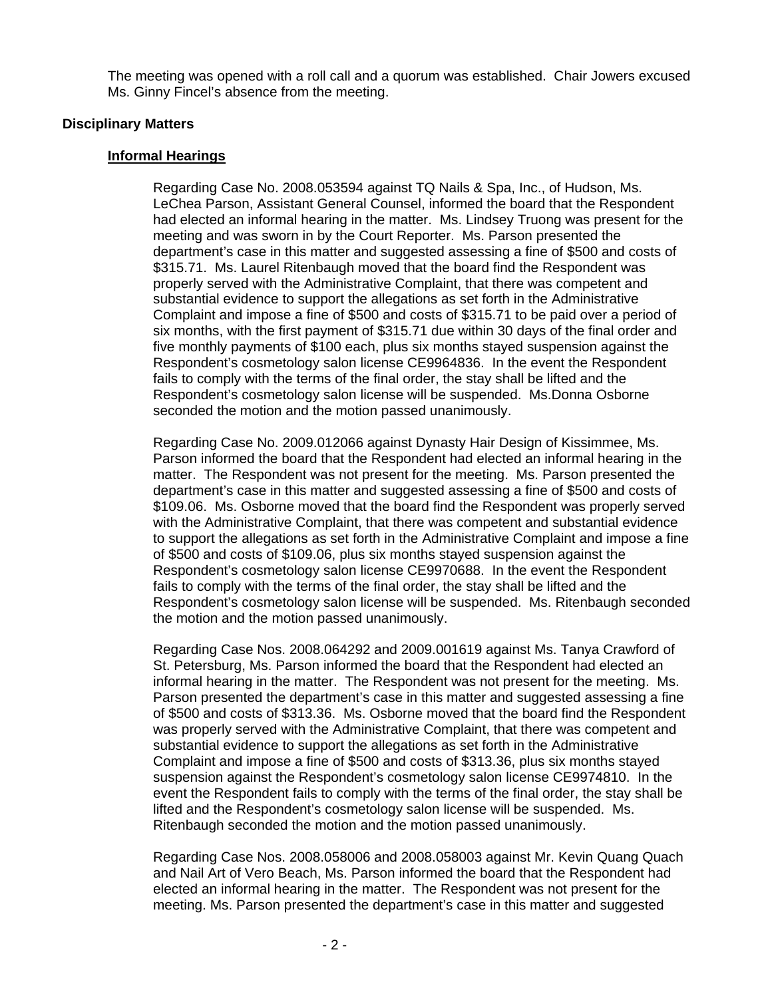The meeting was opened with a roll call and a quorum was established. Chair Jowers excused Ms. Ginny Fincel's absence from the meeting.

# **Disciplinary Matters**

# **Informal Hearings**

Regarding Case No. 2008.053594 against TQ Nails & Spa, Inc., of Hudson, Ms. LeChea Parson, Assistant General Counsel, informed the board that the Respondent had elected an informal hearing in the matter. Ms. Lindsey Truong was present for the meeting and was sworn in by the Court Reporter. Ms. Parson presented the department's case in this matter and suggested assessing a fine of \$500 and costs of \$315.71. Ms. Laurel Ritenbaugh moved that the board find the Respondent was properly served with the Administrative Complaint, that there was competent and substantial evidence to support the allegations as set forth in the Administrative Complaint and impose a fine of \$500 and costs of \$315.71 to be paid over a period of six months, with the first payment of \$315.71 due within 30 days of the final order and five monthly payments of \$100 each, plus six months stayed suspension against the Respondent's cosmetology salon license CE9964836. In the event the Respondent fails to comply with the terms of the final order, the stay shall be lifted and the Respondent's cosmetology salon license will be suspended. Ms.Donna Osborne seconded the motion and the motion passed unanimously.

Regarding Case No. 2009.012066 against Dynasty Hair Design of Kissimmee, Ms. Parson informed the board that the Respondent had elected an informal hearing in the matter. The Respondent was not present for the meeting. Ms. Parson presented the department's case in this matter and suggested assessing a fine of \$500 and costs of \$109.06. Ms. Osborne moved that the board find the Respondent was properly served with the Administrative Complaint, that there was competent and substantial evidence to support the allegations as set forth in the Administrative Complaint and impose a fine of \$500 and costs of \$109.06, plus six months stayed suspension against the Respondent's cosmetology salon license CE9970688. In the event the Respondent fails to comply with the terms of the final order, the stay shall be lifted and the Respondent's cosmetology salon license will be suspended. Ms. Ritenbaugh seconded the motion and the motion passed unanimously.

Regarding Case Nos. 2008.064292 and 2009.001619 against Ms. Tanya Crawford of St. Petersburg, Ms. Parson informed the board that the Respondent had elected an informal hearing in the matter. The Respondent was not present for the meeting. Ms. Parson presented the department's case in this matter and suggested assessing a fine of \$500 and costs of \$313.36. Ms. Osborne moved that the board find the Respondent was properly served with the Administrative Complaint, that there was competent and substantial evidence to support the allegations as set forth in the Administrative Complaint and impose a fine of \$500 and costs of \$313.36, plus six months stayed suspension against the Respondent's cosmetology salon license CE9974810. In the event the Respondent fails to comply with the terms of the final order, the stay shall be lifted and the Respondent's cosmetology salon license will be suspended. Ms. Ritenbaugh seconded the motion and the motion passed unanimously.

Regarding Case Nos. 2008.058006 and 2008.058003 against Mr. Kevin Quang Quach and Nail Art of Vero Beach, Ms. Parson informed the board that the Respondent had elected an informal hearing in the matter. The Respondent was not present for the meeting. Ms. Parson presented the department's case in this matter and suggested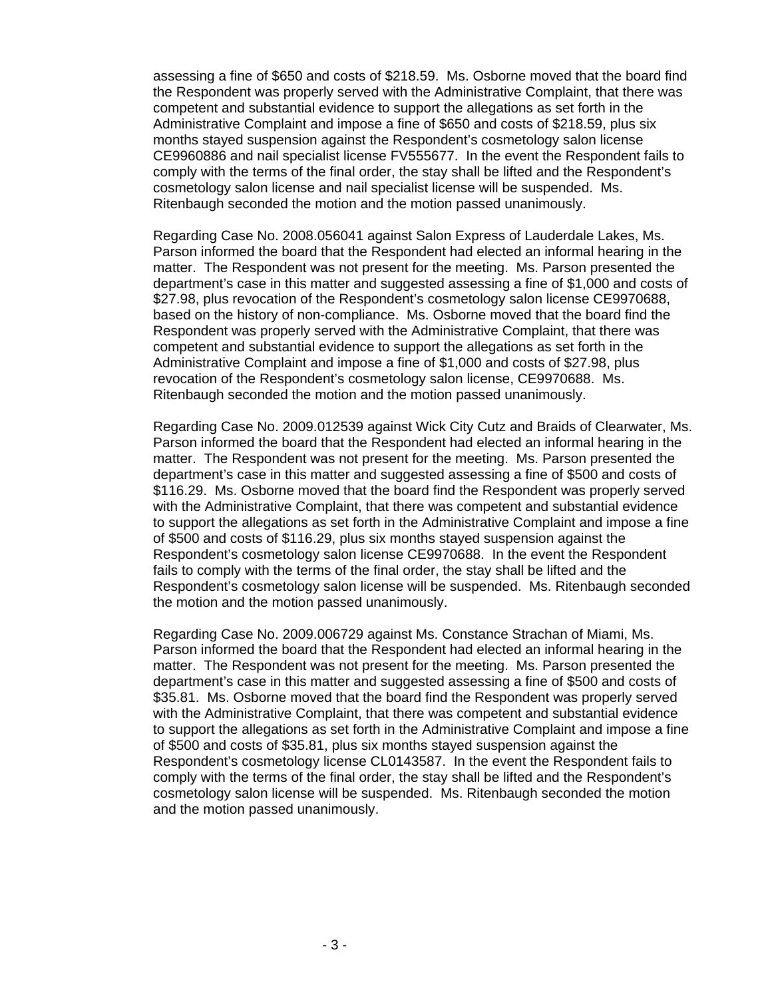assessing a fine of \$650 and costs of \$218.59. Ms. Osborne moved that the board find the Respondent was properly served with the Administrative Complaint, that there was competent and substantial evidence to support the allegations as set forth in the Administrative Complaint and impose a fine of \$650 and costs of \$218.59, plus six months stayed suspension against the Respondent's cosmetology salon license CE9960886 and nail specialist license FV555677. In the event the Respondent fails to comply with the terms of the final order, the stay shall be lifted and the Respondent's cosmetology salon license and nail specialist license will be suspended. Ms. Ritenbaugh seconded the motion and the motion passed unanimously.

Regarding Case No. 2008.056041 against Salon Express of Lauderdale Lakes, Ms. Parson informed the board that the Respondent had elected an informal hearing in the matter. The Respondent was not present for the meeting. Ms. Parson presented the department's case in this matter and suggested assessing a fine of \$1,000 and costs of \$27.98, plus revocation of the Respondent's cosmetology salon license CE9970688, based on the history of non-compliance. Ms. Osborne moved that the board find the Respondent was properly served with the Administrative Complaint, that there was competent and substantial evidence to support the allegations as set forth in the Administrative Complaint and impose a fine of \$1,000 and costs of \$27.98, plus revocation of the Respondent's cosmetology salon license, CE9970688. Ms. Ritenbaugh seconded the motion and the motion passed unanimously.

Regarding Case No. 2009.012539 against Wick City Cutz and Braids of Clearwater, Ms. Parson informed the board that the Respondent had elected an informal hearing in the matter. The Respondent was not present for the meeting. Ms. Parson presented the department's case in this matter and suggested assessing a fine of \$500 and costs of \$116.29. Ms. Osborne moved that the board find the Respondent was properly served with the Administrative Complaint, that there was competent and substantial evidence to support the allegations as set forth in the Administrative Complaint and impose a fine of \$500 and costs of \$116.29, plus six months stayed suspension against the Respondent's cosmetology salon license CE9970688. In the event the Respondent fails to comply with the terms of the final order, the stay shall be lifted and the Respondent's cosmetology salon license will be suspended. Ms. Ritenbaugh seconded the motion and the motion passed unanimously.

Regarding Case No. 2009.006729 against Ms. Constance Strachan of Miami, Ms. Parson informed the board that the Respondent had elected an informal hearing in the matter. The Respondent was not present for the meeting. Ms. Parson presented the department's case in this matter and suggested assessing a fine of \$500 and costs of \$35.81. Ms. Osborne moved that the board find the Respondent was properly served with the Administrative Complaint, that there was competent and substantial evidence to support the allegations as set forth in the Administrative Complaint and impose a fine of \$500 and costs of \$35.81, plus six months stayed suspension against the Respondent's cosmetology license CL0143587. In the event the Respondent fails to comply with the terms of the final order, the stay shall be lifted and the Respondent's cosmetology salon license will be suspended. Ms. Ritenbaugh seconded the motion and the motion passed unanimously.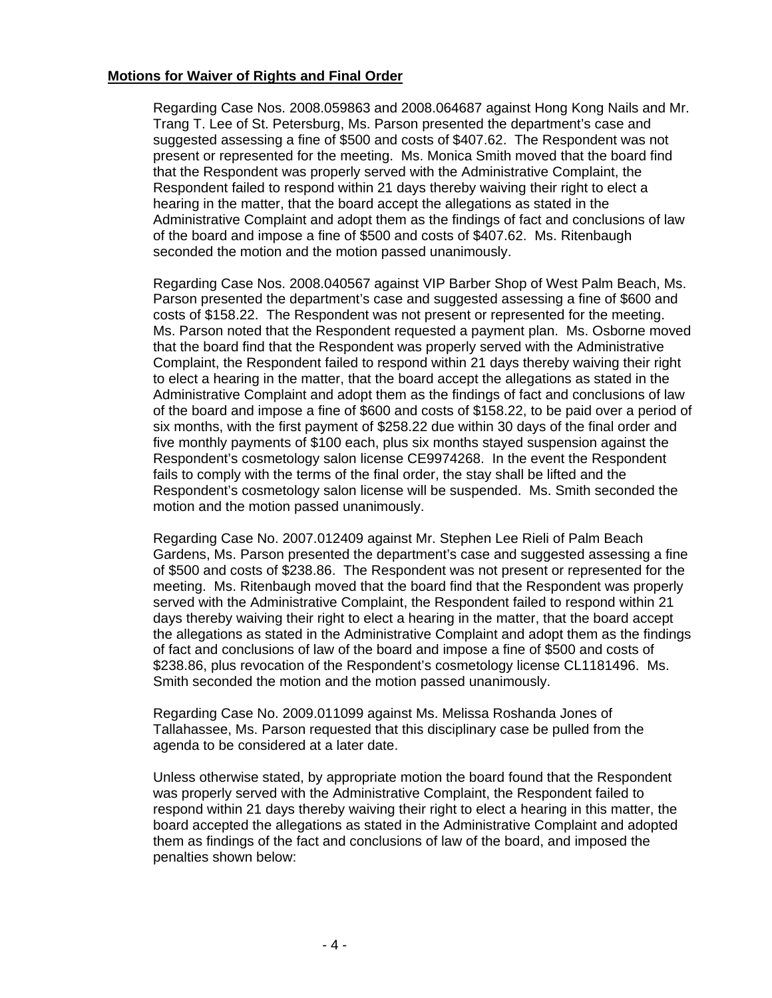# **Motions for Waiver of Rights and Final Order**

Regarding Case Nos. 2008.059863 and 2008.064687 against Hong Kong Nails and Mr. Trang T. Lee of St. Petersburg, Ms. Parson presented the department's case and suggested assessing a fine of \$500 and costs of \$407.62. The Respondent was not present or represented for the meeting. Ms. Monica Smith moved that the board find that the Respondent was properly served with the Administrative Complaint, the Respondent failed to respond within 21 days thereby waiving their right to elect a hearing in the matter, that the board accept the allegations as stated in the Administrative Complaint and adopt them as the findings of fact and conclusions of law of the board and impose a fine of \$500 and costs of \$407.62. Ms. Ritenbaugh seconded the motion and the motion passed unanimously.

Regarding Case Nos. 2008.040567 against VIP Barber Shop of West Palm Beach, Ms. Parson presented the department's case and suggested assessing a fine of \$600 and costs of \$158.22. The Respondent was not present or represented for the meeting. Ms. Parson noted that the Respondent requested a payment plan. Ms. Osborne moved that the board find that the Respondent was properly served with the Administrative Complaint, the Respondent failed to respond within 21 days thereby waiving their right to elect a hearing in the matter, that the board accept the allegations as stated in the Administrative Complaint and adopt them as the findings of fact and conclusions of law of the board and impose a fine of \$600 and costs of \$158.22, to be paid over a period of six months, with the first payment of \$258.22 due within 30 days of the final order and five monthly payments of \$100 each, plus six months stayed suspension against the Respondent's cosmetology salon license CE9974268. In the event the Respondent fails to comply with the terms of the final order, the stay shall be lifted and the Respondent's cosmetology salon license will be suspended. Ms. Smith seconded the motion and the motion passed unanimously.

Regarding Case No. 2007.012409 against Mr. Stephen Lee Rieli of Palm Beach Gardens, Ms. Parson presented the department's case and suggested assessing a fine of \$500 and costs of \$238.86. The Respondent was not present or represented for the meeting. Ms. Ritenbaugh moved that the board find that the Respondent was properly served with the Administrative Complaint, the Respondent failed to respond within 21 days thereby waiving their right to elect a hearing in the matter, that the board accept the allegations as stated in the Administrative Complaint and adopt them as the findings of fact and conclusions of law of the board and impose a fine of \$500 and costs of \$238.86, plus revocation of the Respondent's cosmetology license CL1181496. Ms. Smith seconded the motion and the motion passed unanimously.

Regarding Case No. 2009.011099 against Ms. Melissa Roshanda Jones of Tallahassee, Ms. Parson requested that this disciplinary case be pulled from the agenda to be considered at a later date.

Unless otherwise stated, by appropriate motion the board found that the Respondent was properly served with the Administrative Complaint, the Respondent failed to respond within 21 days thereby waiving their right to elect a hearing in this matter, the board accepted the allegations as stated in the Administrative Complaint and adopted them as findings of the fact and conclusions of law of the board, and imposed the penalties shown below: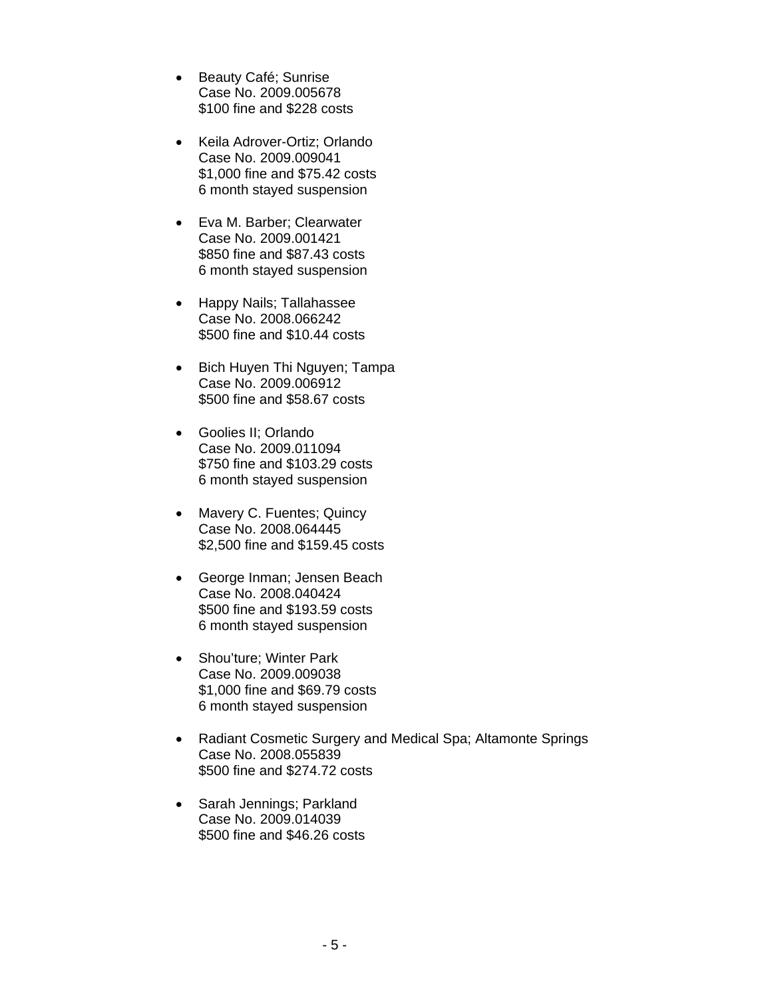- Beauty Café; Sunrise Case No. 2009.005678 \$100 fine and \$228 costs
- Keila Adrover-Ortiz; Orlando Case No. 2009.009041 \$1,000 fine and \$75.42 costs 6 month stayed suspension
- Eva M. Barber; Clearwater Case No. 2009.001421 \$850 fine and \$87.43 costs 6 month stayed suspension
- Happy Nails; Tallahassee Case No. 2008.066242 \$500 fine and \$10.44 costs
- Bich Huyen Thi Nguyen; Tampa Case No. 2009.006912 \$500 fine and \$58.67 costs
- Goolies II; Orlando Case No. 2009.011094 \$750 fine and \$103.29 costs 6 month stayed suspension
- Mavery C. Fuentes; Quincy Case No. 2008.064445 \$2,500 fine and \$159.45 costs
- George Inman; Jensen Beach Case No. 2008.040424 \$500 fine and \$193.59 costs 6 month stayed suspension
- Shou'ture; Winter Park Case No. 2009.009038 \$1,000 fine and \$69.79 costs 6 month stayed suspension
- Radiant Cosmetic Surgery and Medical Spa; Altamonte Springs Case No. 2008.055839 \$500 fine and \$274.72 costs
- Sarah Jennings; Parkland Case No. 2009.014039 \$500 fine and \$46.26 costs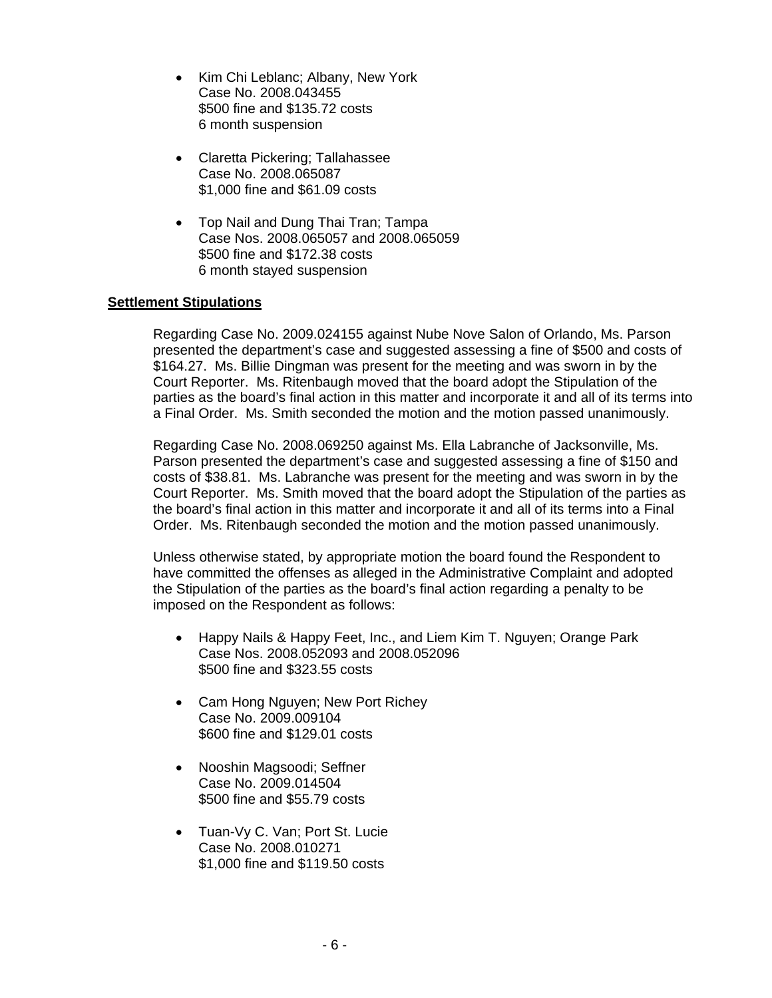- Kim Chi Leblanc; Albany, New York Case No. 2008.043455 \$500 fine and \$135.72 costs 6 month suspension
- Claretta Pickering; Tallahassee Case No. 2008.065087 \$1,000 fine and \$61.09 costs
- Top Nail and Dung Thai Tran; Tampa Case Nos. 2008.065057 and 2008.065059 \$500 fine and \$172.38 costs 6 month stayed suspension

# **Settlement Stipulations**

Regarding Case No. 2009.024155 against Nube Nove Salon of Orlando, Ms. Parson presented the department's case and suggested assessing a fine of \$500 and costs of \$164.27. Ms. Billie Dingman was present for the meeting and was sworn in by the Court Reporter. Ms. Ritenbaugh moved that the board adopt the Stipulation of the parties as the board's final action in this matter and incorporate it and all of its terms into a Final Order. Ms. Smith seconded the motion and the motion passed unanimously.

Regarding Case No. 2008.069250 against Ms. Ella Labranche of Jacksonville, Ms. Parson presented the department's case and suggested assessing a fine of \$150 and costs of \$38.81. Ms. Labranche was present for the meeting and was sworn in by the Court Reporter. Ms. Smith moved that the board adopt the Stipulation of the parties as the board's final action in this matter and incorporate it and all of its terms into a Final Order. Ms. Ritenbaugh seconded the motion and the motion passed unanimously.

Unless otherwise stated, by appropriate motion the board found the Respondent to have committed the offenses as alleged in the Administrative Complaint and adopted the Stipulation of the parties as the board's final action regarding a penalty to be imposed on the Respondent as follows:

- Happy Nails & Happy Feet, Inc., and Liem Kim T. Nguyen; Orange Park Case Nos. 2008.052093 and 2008.052096 \$500 fine and \$323.55 costs
- Cam Hong Nguyen; New Port Richey Case No. 2009.009104 \$600 fine and \$129.01 costs
- Nooshin Magsoodi; Seffner Case No. 2009.014504 \$500 fine and \$55.79 costs
- Tuan-Vy C. Van; Port St. Lucie Case No. 2008.010271 \$1,000 fine and \$119.50 costs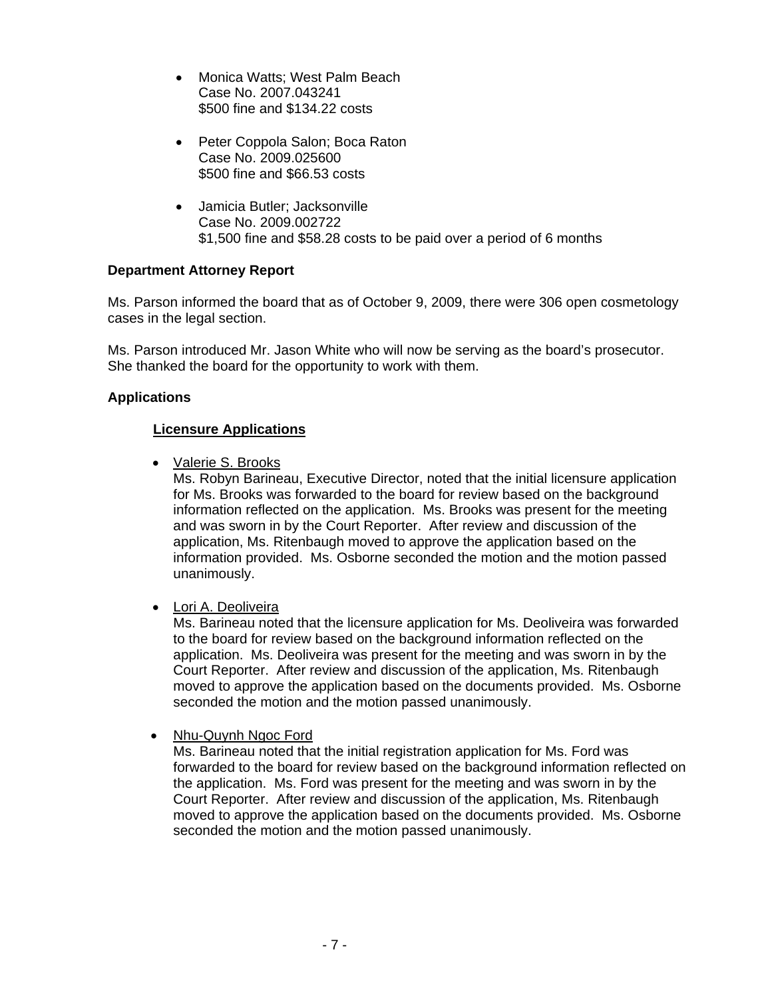- Monica Watts; West Palm Beach Case No. 2007.043241 \$500 fine and \$134.22 costs
- Peter Coppola Salon; Boca Raton Case No. 2009.025600 \$500 fine and \$66.53 costs
- Jamicia Butler; Jacksonville Case No. 2009.002722 \$1,500 fine and \$58.28 costs to be paid over a period of 6 months

# **Department Attorney Report**

Ms. Parson informed the board that as of October 9, 2009, there were 306 open cosmetology cases in the legal section.

Ms. Parson introduced Mr. Jason White who will now be serving as the board's prosecutor. She thanked the board for the opportunity to work with them.

# **Applications**

# **Licensure Applications**

• Valerie S. Brooks

 Ms. Robyn Barineau, Executive Director, noted that the initial licensure application for Ms. Brooks was forwarded to the board for review based on the background information reflected on the application. Ms. Brooks was present for the meeting and was sworn in by the Court Reporter. After review and discussion of the application, Ms. Ritenbaugh moved to approve the application based on the information provided. Ms. Osborne seconded the motion and the motion passed unanimously.

• Lori A. Deoliveira

Ms. Barineau noted that the licensure application for Ms. Deoliveira was forwarded to the board for review based on the background information reflected on the application. Ms. Deoliveira was present for the meeting and was sworn in by the Court Reporter. After review and discussion of the application, Ms. Ritenbaugh moved to approve the application based on the documents provided. Ms. Osborne seconded the motion and the motion passed unanimously.

# • Nhu-Quynh Ngoc Ford

Ms. Barineau noted that the initial registration application for Ms. Ford was forwarded to the board for review based on the background information reflected on the application. Ms. Ford was present for the meeting and was sworn in by the Court Reporter. After review and discussion of the application, Ms. Ritenbaugh moved to approve the application based on the documents provided. Ms. Osborne seconded the motion and the motion passed unanimously.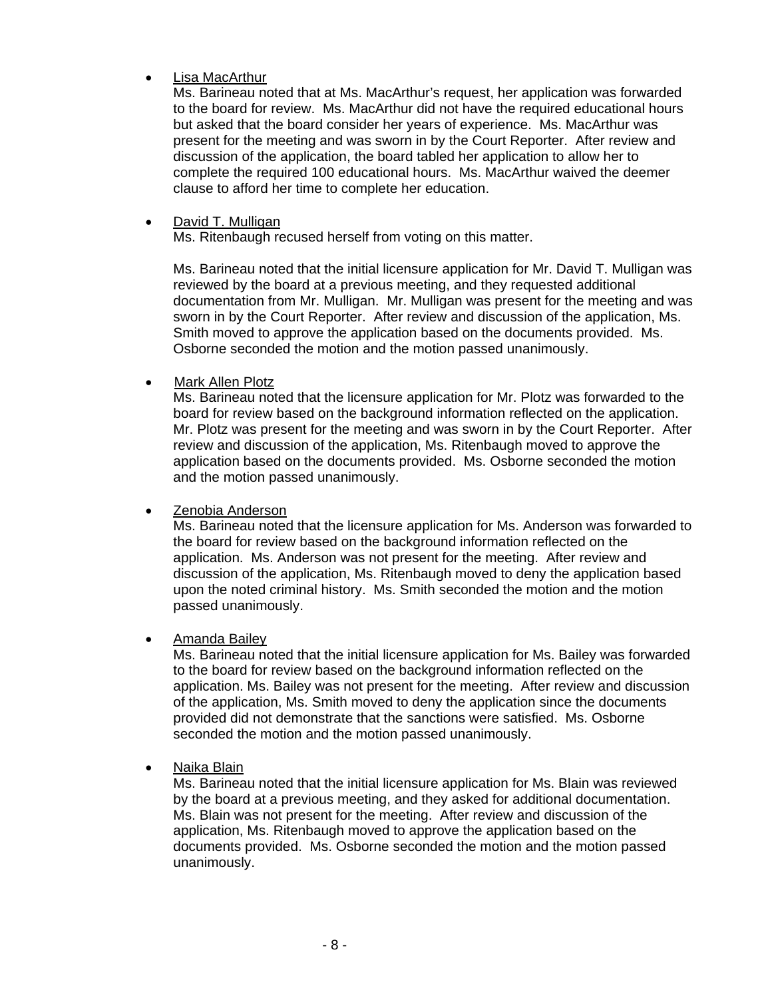# • Lisa MacArthur

Ms. Barineau noted that at Ms. MacArthur's request, her application was forwarded to the board for review. Ms. MacArthur did not have the required educational hours but asked that the board consider her years of experience. Ms. MacArthur was present for the meeting and was sworn in by the Court Reporter. After review and discussion of the application, the board tabled her application to allow her to complete the required 100 educational hours. Ms. MacArthur waived the deemer clause to afford her time to complete her education.

# • David T. Mulligan

Ms. Ritenbaugh recused herself from voting on this matter.

Ms. Barineau noted that the initial licensure application for Mr. David T. Mulligan was reviewed by the board at a previous meeting, and they requested additional documentation from Mr. Mulligan. Mr. Mulligan was present for the meeting and was sworn in by the Court Reporter. After review and discussion of the application, Ms. Smith moved to approve the application based on the documents provided. Ms. Osborne seconded the motion and the motion passed unanimously.

# • Mark Allen Plotz

Ms. Barineau noted that the licensure application for Mr. Plotz was forwarded to the board for review based on the background information reflected on the application. Mr. Plotz was present for the meeting and was sworn in by the Court Reporter. After review and discussion of the application, Ms. Ritenbaugh moved to approve the application based on the documents provided. Ms. Osborne seconded the motion and the motion passed unanimously.

• Zenobia Anderson

Ms. Barineau noted that the licensure application for Ms. Anderson was forwarded to the board for review based on the background information reflected on the application. Ms. Anderson was not present for the meeting. After review and discussion of the application, Ms. Ritenbaugh moved to deny the application based upon the noted criminal history. Ms. Smith seconded the motion and the motion passed unanimously.

# • Amanda Bailey

Ms. Barineau noted that the initial licensure application for Ms. Bailey was forwarded to the board for review based on the background information reflected on the application. Ms. Bailey was not present for the meeting. After review and discussion of the application, Ms. Smith moved to deny the application since the documents provided did not demonstrate that the sanctions were satisfied. Ms. Osborne seconded the motion and the motion passed unanimously.

# • Naika Blain

Ms. Barineau noted that the initial licensure application for Ms. Blain was reviewed by the board at a previous meeting, and they asked for additional documentation. Ms. Blain was not present for the meeting. After review and discussion of the application, Ms. Ritenbaugh moved to approve the application based on the documents provided. Ms. Osborne seconded the motion and the motion passed unanimously.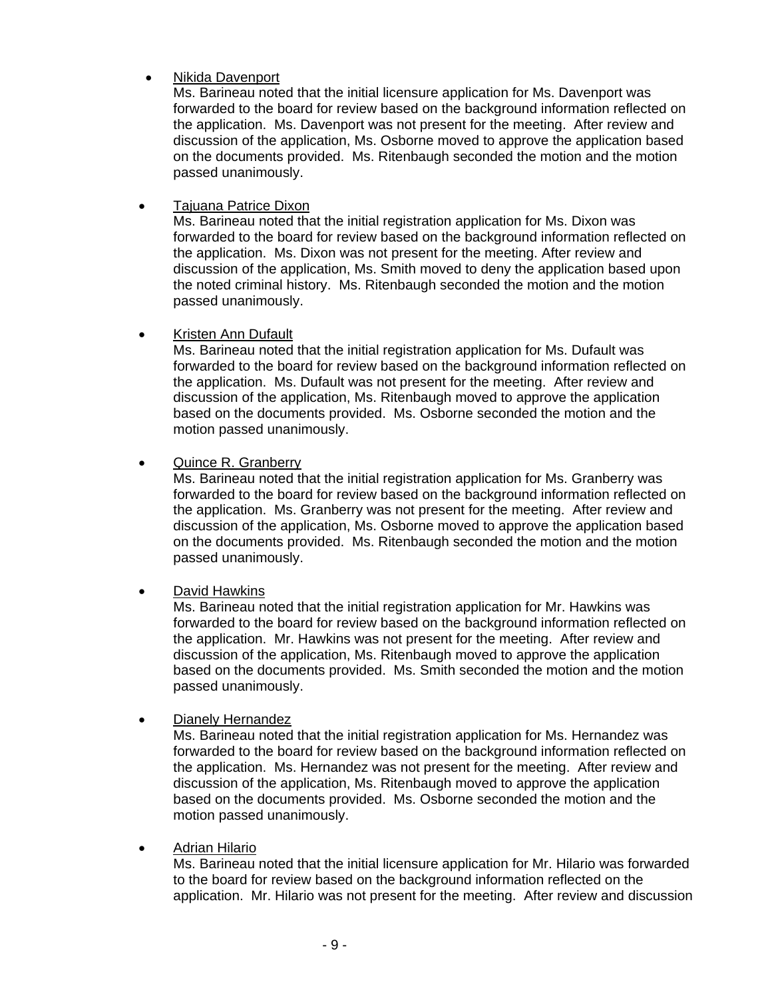# • Nikida Davenport

Ms. Barineau noted that the initial licensure application for Ms. Davenport was forwarded to the board for review based on the background information reflected on the application. Ms. Davenport was not present for the meeting. After review and discussion of the application, Ms. Osborne moved to approve the application based on the documents provided. Ms. Ritenbaugh seconded the motion and the motion passed unanimously.

• Tajuana Patrice Dixon

Ms. Barineau noted that the initial registration application for Ms. Dixon was forwarded to the board for review based on the background information reflected on the application. Ms. Dixon was not present for the meeting. After review and discussion of the application, Ms. Smith moved to deny the application based upon the noted criminal history.Ms. Ritenbaugh seconded the motion and the motion passed unanimously.

• Kristen Ann Dufault

Ms. Barineau noted that the initial registration application for Ms. Dufault was forwarded to the board for review based on the background information reflected on the application. Ms. Dufault was not present for the meeting. After review and discussion of the application, Ms. Ritenbaugh moved to approve the application based on the documents provided. Ms. Osborne seconded the motion and the motion passed unanimously.

• Quince R. Granberry

Ms. Barineau noted that the initial registration application for Ms. Granberry was forwarded to the board for review based on the background information reflected on the application. Ms. Granberry was not present for the meeting. After review and discussion of the application, Ms. Osborne moved to approve the application based on the documents provided. Ms. Ritenbaugh seconded the motion and the motion passed unanimously.

• David Hawkins

Ms. Barineau noted that the initial registration application for Mr. Hawkins was forwarded to the board for review based on the background information reflected on the application. Mr. Hawkins was not present for the meeting. After review and discussion of the application, Ms. Ritenbaugh moved to approve the application based on the documents provided. Ms. Smith seconded the motion and the motion passed unanimously.

• Dianely Hernandez

Ms. Barineau noted that the initial registration application for Ms. Hernandez was forwarded to the board for review based on the background information reflected on the application. Ms. Hernandez was not present for the meeting. After review and discussion of the application, Ms. Ritenbaugh moved to approve the application based on the documents provided. Ms. Osborne seconded the motion and the motion passed unanimously.

• Adrian Hilario

Ms. Barineau noted that the initial licensure application for Mr. Hilario was forwarded to the board for review based on the background information reflected on the application. Mr. Hilario was not present for the meeting. After review and discussion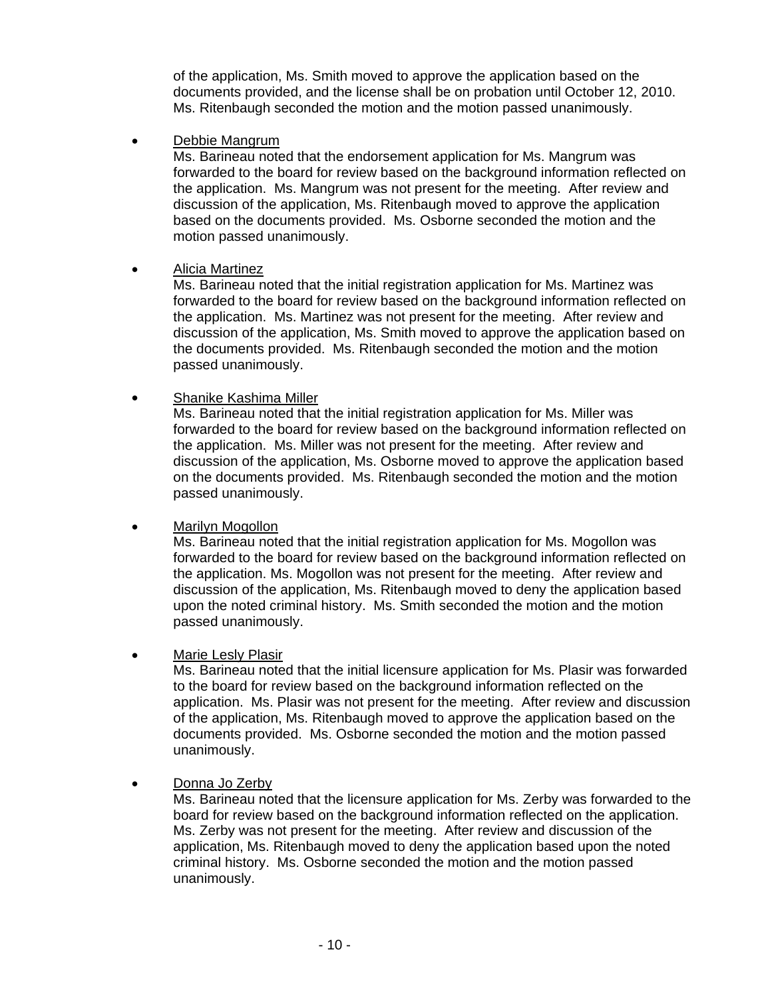of the application, Ms. Smith moved to approve the application based on the documents provided, and the license shall be on probation until October 12, 2010. Ms. Ritenbaugh seconded the motion and the motion passed unanimously.

• Debbie Mangrum

Ms. Barineau noted that the endorsement application for Ms. Mangrum was forwarded to the board for review based on the background information reflected on the application. Ms. Mangrum was not present for the meeting. After review and discussion of the application, Ms. Ritenbaugh moved to approve the application based on the documents provided. Ms. Osborne seconded the motion and the motion passed unanimously.

# • Alicia Martinez

Ms. Barineau noted that the initial registration application for Ms. Martinez was forwarded to the board for review based on the background information reflected on the application. Ms. Martinez was not present for the meeting. After review and discussion of the application, Ms. Smith moved to approve the application based on the documents provided. Ms. Ritenbaugh seconded the motion and the motion passed unanimously.

# • Shanike Kashima Miller

Ms. Barineau noted that the initial registration application for Ms. Miller was forwarded to the board for review based on the background information reflected on the application. Ms. Miller was not present for the meeting. After review and discussion of the application, Ms. Osborne moved to approve the application based on the documents provided. Ms. Ritenbaugh seconded the motion and the motion passed unanimously.

# • Marilyn Mogollon

Ms. Barineau noted that the initial registration application for Ms. Mogollon was forwarded to the board for review based on the background information reflected on the application. Ms. Mogollon was not present for the meeting. After review and discussion of the application, Ms. Ritenbaugh moved to deny the application based upon the noted criminal history. Ms. Smith seconded the motion and the motion passed unanimously.

# • Marie Lesly Plasir

Ms. Barineau noted that the initial licensure application for Ms. Plasir was forwarded to the board for review based on the background information reflected on the application. Ms. Plasir was not present for the meeting. After review and discussion of the application, Ms. Ritenbaugh moved to approve the application based on the documents provided. Ms. Osborne seconded the motion and the motion passed unanimously.

# • Donna Jo Zerby

Ms. Barineau noted that the licensure application for Ms. Zerby was forwarded to the board for review based on the background information reflected on the application. Ms. Zerby was not present for the meeting. After review and discussion of the application, Ms. Ritenbaugh moved to deny the application based upon the noted criminal history. Ms. Osborne seconded the motion and the motion passed unanimously.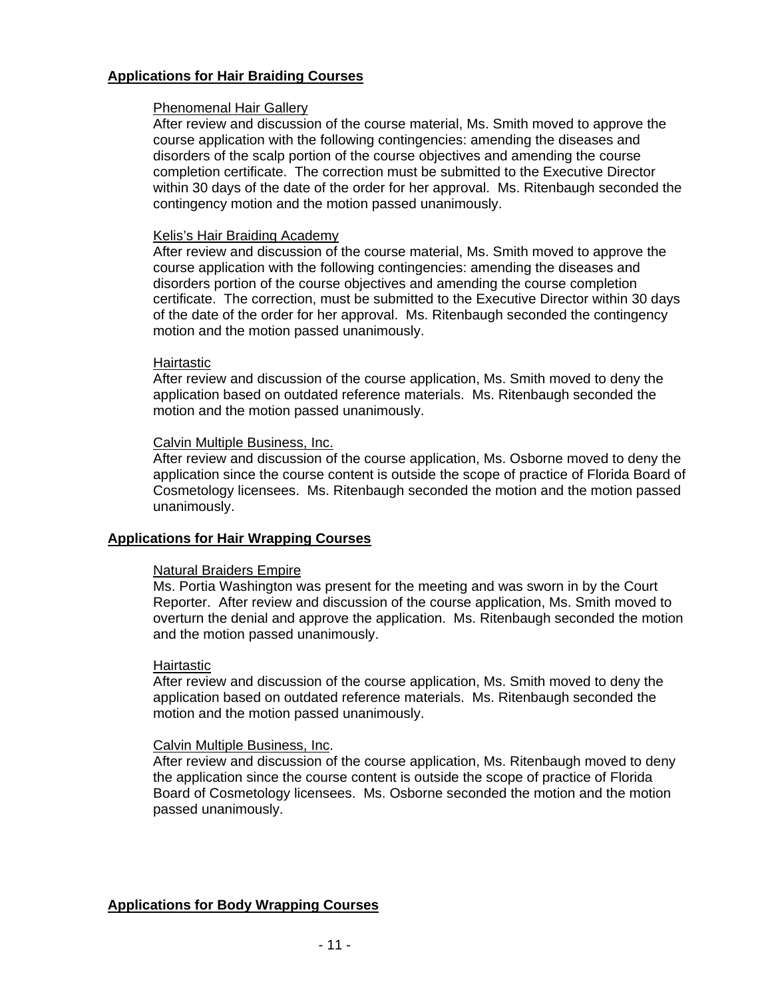# **Applications for Hair Braiding Courses**

# Phenomenal Hair Gallery

After review and discussion of the course material, Ms. Smith moved to approve the course application with the following contingencies: amending the diseases and disorders of the scalp portion of the course objectives and amending the course completion certificate. The correction must be submitted to the Executive Director within 30 days of the date of the order for her approval. Ms. Ritenbaugh seconded the contingency motion and the motion passed unanimously.

# Kelis's Hair Braiding Academy

After review and discussion of the course material, Ms. Smith moved to approve the course application with the following contingencies: amending the diseases and disorders portion of the course objectives and amending the course completion certificate. The correction, must be submitted to the Executive Director within 30 days of the date of the order for her approval. Ms. Ritenbaugh seconded the contingency motion and the motion passed unanimously.

# **Hairtastic**

After review and discussion of the course application, Ms. Smith moved to deny the application based on outdated reference materials. Ms. Ritenbaugh seconded the motion and the motion passed unanimously.

# Calvin Multiple Business, Inc.

After review and discussion of the course application, Ms. Osborne moved to deny the application since the course content is outside the scope of practice of Florida Board of Cosmetology licensees. Ms. Ritenbaugh seconded the motion and the motion passed unanimously.

# **Applications for Hair Wrapping Courses**

# Natural Braiders Empire

Ms. Portia Washington was present for the meeting and was sworn in by the Court Reporter. After review and discussion of the course application, Ms. Smith moved to overturn the denial and approve the application. Ms. Ritenbaugh seconded the motion and the motion passed unanimously.

# Hairtastic

After review and discussion of the course application, Ms. Smith moved to deny the application based on outdated reference materials. Ms. Ritenbaugh seconded the motion and the motion passed unanimously.

# Calvin Multiple Business, Inc.

After review and discussion of the course application, Ms. Ritenbaugh moved to deny the application since the course content is outside the scope of practice of Florida Board of Cosmetology licensees. Ms. Osborne seconded the motion and the motion passed unanimously.

# **Applications for Body Wrapping Courses**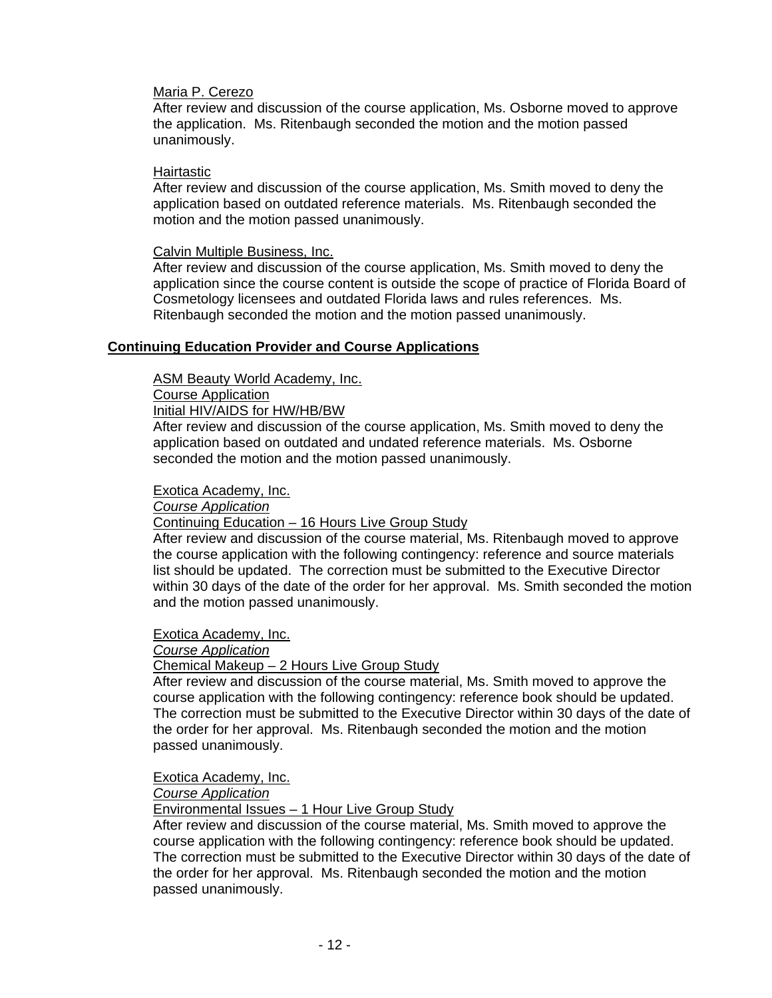# Maria P. Cerezo

After review and discussion of the course application, Ms. Osborne moved to approve the application. Ms. Ritenbaugh seconded the motion and the motion passed unanimously.

# Hairtastic

After review and discussion of the course application, Ms. Smith moved to deny the application based on outdated reference materials. Ms. Ritenbaugh seconded the motion and the motion passed unanimously.

# Calvin Multiple Business, Inc.

After review and discussion of the course application, Ms. Smith moved to deny the application since the course content is outside the scope of practice of Florida Board of Cosmetology licensees and outdated Florida laws and rules references. Ms. Ritenbaugh seconded the motion and the motion passed unanimously.

# **Continuing Education Provider and Course Applications**

ASM Beauty World Academy, Inc.

# Course Application

Initial HIV/AIDS for HW/HB/BW

After review and discussion of the course application, Ms. Smith moved to deny the application based on outdated and undated reference materials. Ms. Osborne seconded the motion and the motion passed unanimously.

# Exotica Academy, Inc.

*Course Application*

# Continuing Education – 16 Hours Live Group Study

After review and discussion of the course material, Ms. Ritenbaugh moved to approve the course application with the following contingency: reference and source materials list should be updated. The correction must be submitted to the Executive Director within 30 days of the date of the order for her approval. Ms. Smith seconded the motion and the motion passed unanimously.

Exotica Academy, Inc.

# *Course Application*

# Chemical Makeup – 2 Hours Live Group Study

After review and discussion of the course material, Ms. Smith moved to approve the course application with the following contingency: reference book should be updated. The correction must be submitted to the Executive Director within 30 days of the date of the order for her approval. Ms. Ritenbaugh seconded the motion and the motion passed unanimously.

Exotica Academy, Inc.

# *Course Application*

Environmental Issues – 1 Hour Live Group Study

After review and discussion of the course material, Ms. Smith moved to approve the course application with the following contingency: reference book should be updated. The correction must be submitted to the Executive Director within 30 days of the date of the order for her approval. Ms. Ritenbaugh seconded the motion and the motion passed unanimously.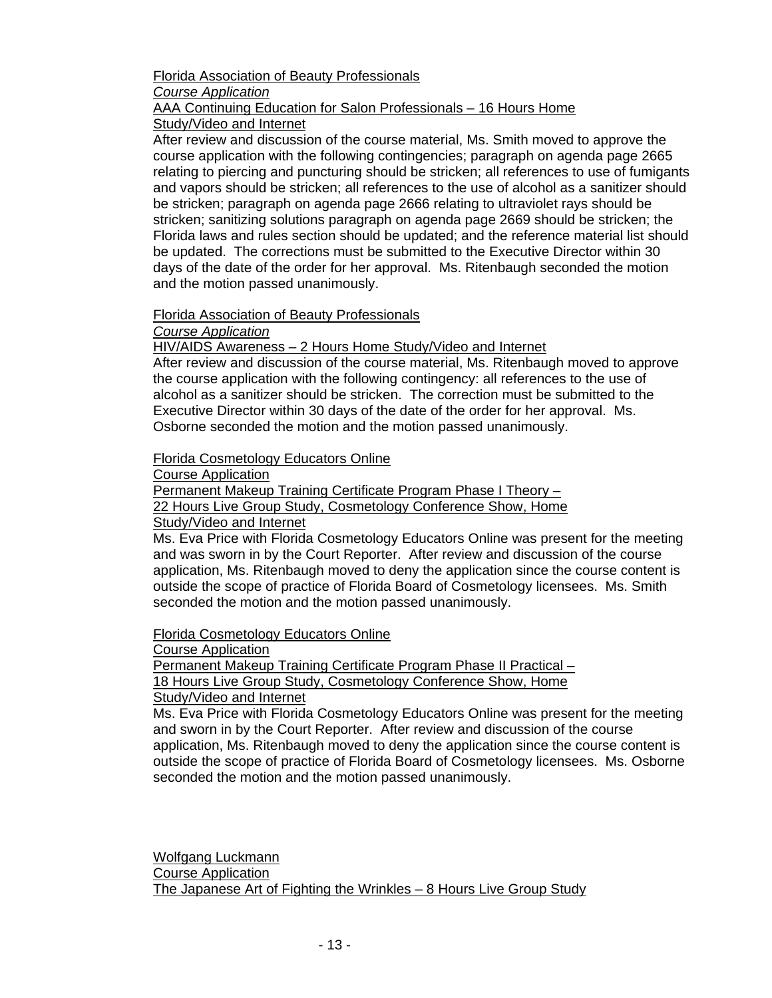# Florida Association of Beauty Professionals *Course Application* AAA Continuing Education for Salon Professionals – 16 Hours Home

Study/Video and Internet

After review and discussion of the course material, Ms. Smith moved to approve the course application with the following contingencies; paragraph on agenda page 2665 relating to piercing and puncturing should be stricken; all references to use of fumigants and vapors should be stricken; all references to the use of alcohol as a sanitizer should be stricken; paragraph on agenda page 2666 relating to ultraviolet rays should be stricken; sanitizing solutions paragraph on agenda page 2669 should be stricken; the Florida laws and rules section should be updated; and the reference material list should be updated. The corrections must be submitted to the Executive Director within 30 days of the date of the order for her approval. Ms. Ritenbaugh seconded the motion and the motion passed unanimously.

# Florida Association of Beauty Professionals

*Course Application*

HIV/AIDS Awareness – 2 Hours Home Study/Video and Internet

After review and discussion of the course material, Ms. Ritenbaugh moved to approve the course application with the following contingency: all references to the use of alcohol as a sanitizer should be stricken. The correction must be submitted to the Executive Director within 30 days of the date of the order for her approval. Ms. Osborne seconded the motion and the motion passed unanimously.

Florida Cosmetology Educators Online

Course Application

Permanent Makeup Training Certificate Program Phase I Theory –

22 Hours Live Group Study, Cosmetology Conference Show, Home

# Study/Video and Internet

Ms. Eva Price with Florida Cosmetology Educators Online was present for the meeting and was sworn in by the Court Reporter. After review and discussion of the course application, Ms. Ritenbaugh moved to deny the application since the course content is outside the scope of practice of Florida Board of Cosmetology licensees. Ms. Smith seconded the motion and the motion passed unanimously.

Florida Cosmetology Educators Online

Course Application

Permanent Makeup Training Certificate Program Phase II Practical – 18 Hours Live Group Study, Cosmetology Conference Show, Home

Study/Video and Internet

Ms. Eva Price with Florida Cosmetology Educators Online was present for the meeting and sworn in by the Court Reporter. After review and discussion of the course application, Ms. Ritenbaugh moved to deny the application since the course content is outside the scope of practice of Florida Board of Cosmetology licensees. Ms. Osborne seconded the motion and the motion passed unanimously.

 Wolfgang Luckmann Course Application The Japanese Art of Fighting the Wrinkles – 8 Hours Live Group Study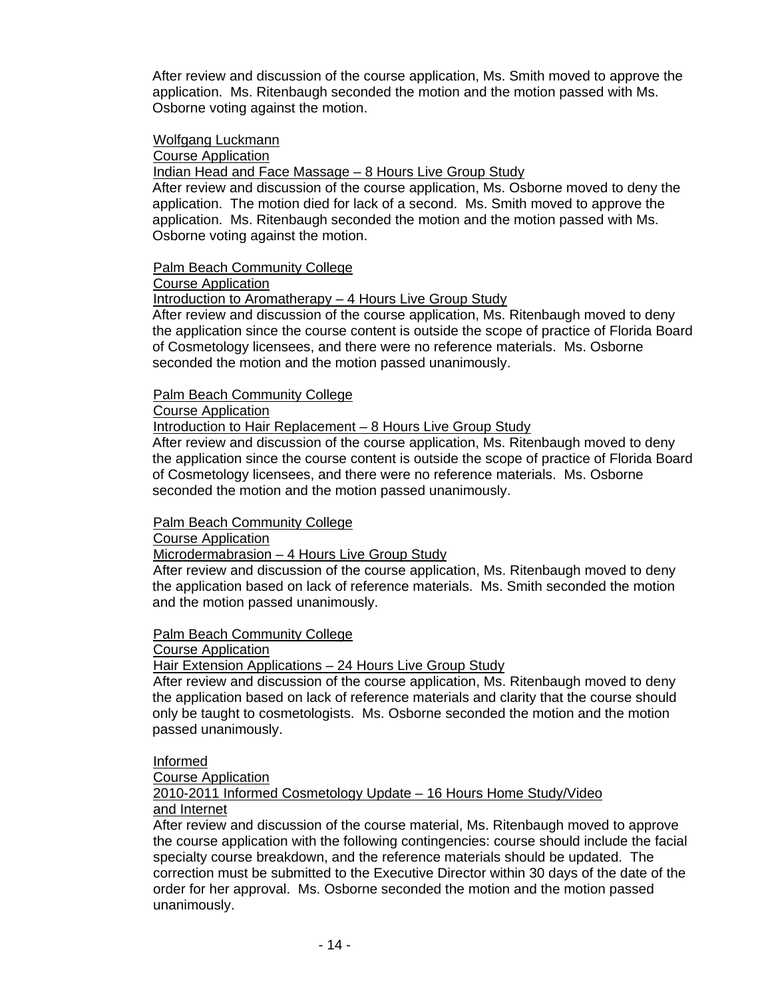After review and discussion of the course application, Ms. Smith moved to approve the application. Ms. Ritenbaugh seconded the motion and the motion passed with Ms. Osborne voting against the motion.

# Wolfgang Luckmann

# Course Application

**Indian Head and Face Massage - 8 Hours Live Group Study** 

After review and discussion of the course application, Ms. Osborne moved to deny the application. The motion died for lack of a second. Ms. Smith moved to approve the application. Ms. Ritenbaugh seconded the motion and the motion passed with Ms. Osborne voting against the motion.

# Palm Beach Community College

Course Application

Introduction to Aromatherapy – 4 Hours Live Group Study

After review and discussion of the course application, Ms. Ritenbaugh moved to deny the application since the course content is outside the scope of practice of Florida Board of Cosmetology licensees, and there were no reference materials. Ms. Osborne seconded the motion and the motion passed unanimously.

# Palm Beach Community College

Course Application

# Introduction to Hair Replacement – 8 Hours Live Group Study

After review and discussion of the course application, Ms. Ritenbaugh moved to deny the application since the course content is outside the scope of practice of Florida Board of Cosmetology licensees, and there were no reference materials. Ms. Osborne seconded the motion and the motion passed unanimously.

# Palm Beach Community College

Course Application

Microdermabrasion – 4 Hours Live Group Study

 After review and discussion of the course application, Ms. Ritenbaugh moved to deny the application based on lack of reference materials. Ms. Smith seconded the motion and the motion passed unanimously.

# Palm Beach Community College

# Course Application

Hair Extension Applications – 24 Hours Live Group Study

 After review and discussion of the course application, Ms. Ritenbaugh moved to deny the application based on lack of reference materials and clarity that the course should only be taught to cosmetologists. Ms. Osborne seconded the motion and the motion passed unanimously.

# Informed

Course Application

# 2010-2011 Informed Cosmetology Update – 16 Hours Home Study/Video and Internet

After review and discussion of the course material, Ms. Ritenbaugh moved to approve the course application with the following contingencies: course should include the facial specialty course breakdown, and the reference materials should be updated. The correction must be submitted to the Executive Director within 30 days of the date of the order for her approval. Ms. Osborne seconded the motion and the motion passed unanimously.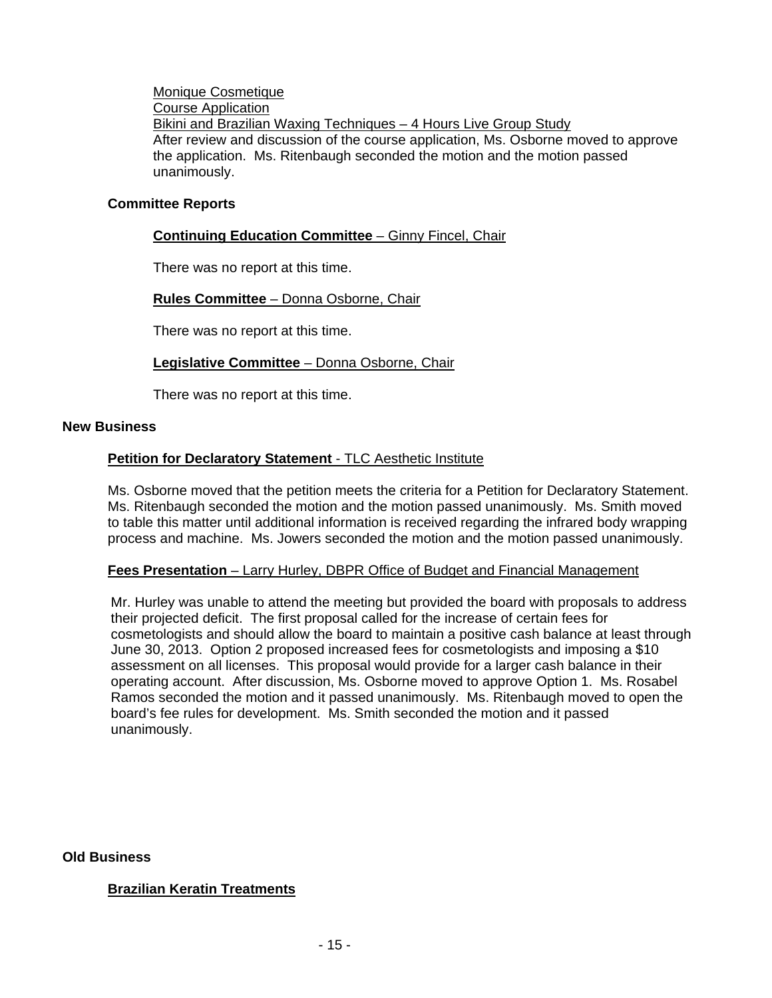Monique Cosmetique Course Application Bikini and Brazilian Waxing Techniques – 4 Hours Live Group Study After review and discussion of the course application, Ms. Osborne moved to approve the application. Ms. Ritenbaugh seconded the motion and the motion passed unanimously.

#### **Committee Reports**

# **Continuing Education Committee** – Ginny Fincel, Chair

There was no report at this time.

# **Rules Committee** – Donna Osborne, Chair

There was no report at this time.

# **Legislative Committee** – Donna Osborne, Chair

There was no report at this time.

#### **New Business**

# **Petition for Declaratory Statement - TLC Aesthetic Institute**

Ms. Osborne moved that the petition meets the criteria for a Petition for Declaratory Statement. Ms. Ritenbaugh seconded the motion and the motion passed unanimously. Ms. Smith moved to table this matter until additional information is received regarding the infrared body wrapping process and machine. Ms. Jowers seconded the motion and the motion passed unanimously.

# **Fees Presentation** – Larry Hurley, DBPR Office of Budget and Financial Management

Mr. Hurley was unable to attend the meeting but provided the board with proposals to address their projected deficit. The first proposal called for the increase of certain fees for cosmetologists and should allow the board to maintain a positive cash balance at least through June 30, 2013. Option 2 proposed increased fees for cosmetologists and imposing a \$10 assessment on all licenses. This proposal would provide for a larger cash balance in their operating account. After discussion, Ms. Osborne moved to approve Option 1. Ms. Rosabel Ramos seconded the motion and it passed unanimously. Ms. Ritenbaugh moved to open the board's fee rules for development. Ms. Smith seconded the motion and it passed unanimously.

# **Old Business**

# **Brazilian Keratin Treatments**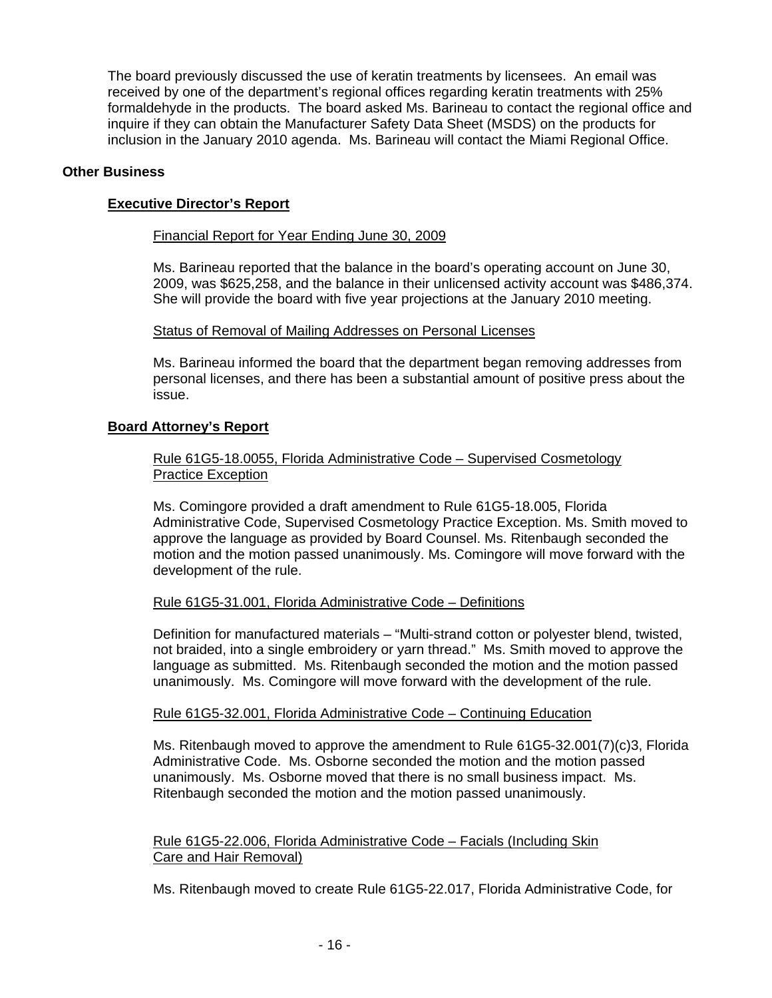The board previously discussed the use of keratin treatments by licensees. An email was received by one of the department's regional offices regarding keratin treatments with 25% formaldehyde in the products. The board asked Ms. Barineau to contact the regional office and inquire if they can obtain the Manufacturer Safety Data Sheet (MSDS) on the products for inclusion in the January 2010 agenda. Ms. Barineau will contact the Miami Regional Office.

# **Other Business**

# **Executive Director's Report**

# Financial Report for Year Ending June 30, 2009

Ms. Barineau reported that the balance in the board's operating account on June 30, 2009, was \$625,258, and the balance in their unlicensed activity account was \$486,374. She will provide the board with five year projections at the January 2010 meeting.

# Status of Removal of Mailing Addresses on Personal Licenses

Ms. Barineau informed the board that the department began removing addresses from personal licenses, and there has been a substantial amount of positive press about the issue.

# **Board Attorney's Report**

# Rule 61G5-18.0055, Florida Administrative Code – Supervised Cosmetology Practice Exception

Ms. Comingore provided a draft amendment to Rule 61G5-18.005, Florida Administrative Code, Supervised Cosmetology Practice Exception. Ms. Smith moved to approve the language as provided by Board Counsel. Ms. Ritenbaugh seconded the motion and the motion passed unanimously. Ms. Comingore will move forward with the development of the rule.

# Rule 61G5-31.001, Florida Administrative Code – Definitions

Definition for manufactured materials – "Multi-strand cotton or polyester blend, twisted, not braided, into a single embroidery or yarn thread." Ms. Smith moved to approve the language as submitted. Ms. Ritenbaugh seconded the motion and the motion passed unanimously. Ms. Comingore will move forward with the development of the rule.

# Rule 61G5-32.001, Florida Administrative Code – Continuing Education

Ms. Ritenbaugh moved to approve the amendment to Rule 61G5-32.001(7)(c)3, Florida Administrative Code. Ms. Osborne seconded the motion and the motion passed unanimously. Ms. Osborne moved that there is no small business impact. Ms. Ritenbaugh seconded the motion and the motion passed unanimously.

# Rule 61G5-22.006, Florida Administrative Code – Facials (Including Skin Care and Hair Removal)

Ms. Ritenbaugh moved to create Rule 61G5-22.017, Florida Administrative Code, for